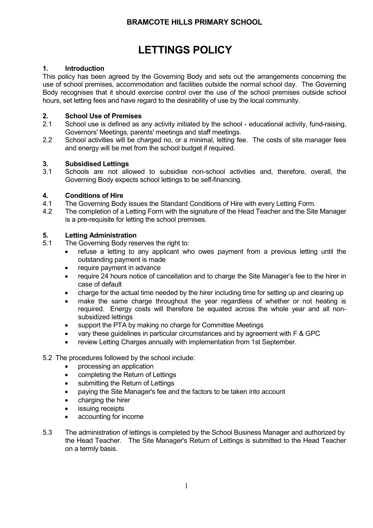# **BRAMCOTE HILLS PRIMARY SCHOOL**

# **LETTINGS POLICY**

## **1. Introduction**

This policy has been agreed by the Governing Body and sets out the arrangements concerning the use of school premises, accommodation and facilities outside the normal school day. The Governing Body recognises that it should exercise control over the use of the school premises outside school hours, set letting fees and have regard to the desirability of use by the local community.

### **2. School Use of Premises**

- 2.1 School use is defined as any activity initiated by the school educational activity, fund-raising, Governors' Meetings, parents' meetings and staff meetings.
- 2.2 School activities will be charged no, or a minimal, letting fee. The costs of site manager fees and energy will be met from the school budget if required.

### **3. Subsidised Lettings**

3.1 Schools are not allowed to subsidise non-school activities and, therefore, overall, the Governing Body expects school lettings to be self-financing.

### **4. Conditions of Hire**

- 4.1 The Governing Body issues the Standard Conditions of Hire with every Letting Form.
- 4.2 The completion of a Letting Form with the signature of the Head Teacher and the Site Manager is a pre-requisite for letting the school premises.

### **5. Letting Administration**

- 5.1 The Governing Body reserves the right to:
	- refuse a letting to any applicant who owes payment from a previous letting until the outstanding payment is made
	- require payment in advance
	- require 24 hours notice of cancellation and to charge the Site Manager's fee to the hirer in case of default
	- charge for the actual time needed by the hirer including time for setting up and clearing up
	- make the same charge throughout the year regardless of whether or not heating is required. Energy costs will therefore be equated across the whole year and all nonsubsidized lettings
	- support the PTA by making no charge for Committee Meetings
	- vary these guidelines in particular circumstances and by agreement with F & GPC
	- review Letting Charges annually with implementation from 1st September.

#### 5.2 The procedures followed by the school include:

- processing an application
- completing the Return of Lettings
- submitting the Return of Lettings
- paying the Site Manager's fee and the factors to be taken into account
- charging the hirer
- issuing receipts
- accounting for income
- 5.3 The administration of lettings is completed by the School Business Manager and authorized by the Head Teacher. The Site Manager's Return of Lettings is submitted to the Head Teacher on a termly basis.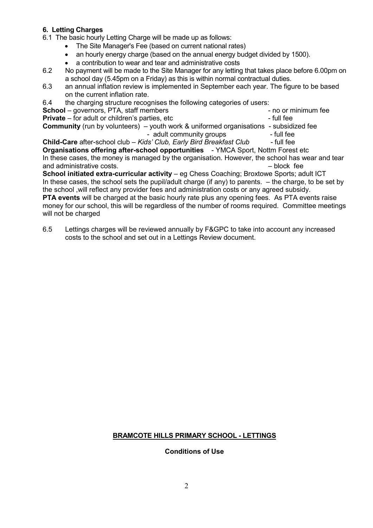## **6. Letting Charges**

6.1 The basic hourly Letting Charge will be made up as follows:

- The Site Manager's Fee (based on current national rates)
- an hourly energy charge (based on the annual energy budget divided by 1500).
- a contribution to wear and tear and administrative costs
- 6.2 No payment will be made to the Site Manager for any letting that takes place before 6.00pm on a school day (5.45pm on a Friday) as this is within normal contractual duties.
- 6.3 an annual inflation review is implemented in September each year. The figure to be based on the current inflation rate.
- 6.4 the charging structure recognises the following categories of users:

**School** – governors, PTA, staff members **Accord 2012** - no or minimum fee

**Private** – for adult or children's parties, etc - Full fee

**Community** (run by volunteers) – youth work & uniformed organisations - subsidized fee

- adult community groups - full fee

**Child-Care** after-school club – *Kids' Club, Early Bird Breakfast Club -* full fee **Organisations offering after-school opportunities** - YMCA Sport, Nottm Forest etc In these cases, the money is managed by the organisation. However, the school has wear and tear and administrative costs. The cost of the costs of the costs of the costs of the costs of the costs of the costs

**School initiated extra-curricular activity** – eg Chess Coaching; Broxtowe Sports; adult ICT In these cases, the school sets the pupil/adult charge (if any) to parents. – the charge, to be set by the school ,will reflect any provider fees and administration costs or any agreed subsidy. **PTA events** will be charged at the basic hourly rate plus any opening fees. As PTA events raise money for our school, this will be regardless of the number of rooms required. Committee meetings will not be charged

6.5 Lettings charges will be reviewed annually by F&GPC to take into account any increased costs to the school and set out in a Lettings Review document.

## **BRAMCOTE HILLS PRIMARY SCHOOL - LETTINGS**

#### **Conditions of Use**